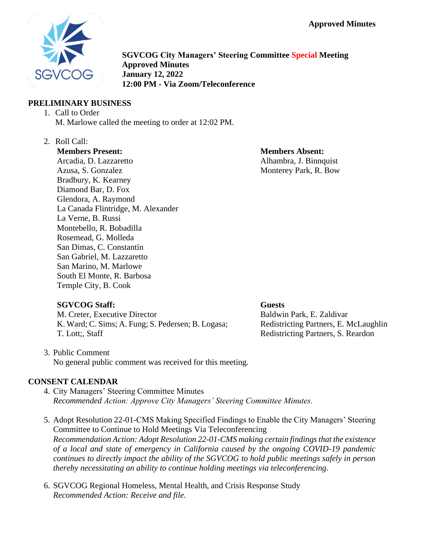

**SGVCOG City Managers' Steering Committee Special Meeting Approved Minutes January 12, 2022 12:00 PM - Via Zoom/Teleconference**

## **PRELIMINARY BUSINESS**

- 1. Call to Order M. Marlowe called the meeting to order at 12:02 PM.
- 2. Roll Call:

# **Members Present:**

Arcadia, D. Lazzaretto Azusa, S. Gonzalez Bradbury, K. Kearney Diamond Bar, D. Fox Glendora, A. Raymond La Canada Flintridge, M. Alexander La Verne, B. Russi Montebello, R. Bobadilla Rosemead, G. Molleda San Dimas, C. Constantin San Gabriel, M. Lazzaretto San Marino, M. Marlowe South El Monte, R. Barbosa Temple City, B. Cook

# **Members Absent:** Alhambra, J. Binnquist Monterey Park, R. Bow

# **SGVCOG Staff:**

M. Creter, Executive Director K. Ward; C. Sims; A. Fung; S. Pedersen; B. Logasa; T. Lott;, Staff

### **Guests**

Baldwin Park, E. Zaldivar Redistricting Partners, E. McLaughlin Redistricting Partners, S. Reardon

3. Public Comment No general public comment was received for this meeting.

# **CONSENT CALENDAR**

- 4. City Managers' Steering Committee Minutes *Recommended Action: Approve City Managers' Steering Committee Minutes.*
- 5. Adopt Resolution 22-01-CMS Making Specified Findings to Enable the City Managers' Steering Committee to Continue to Hold Meetings Via Teleconferencing *Recommendation Action: Adopt Resolution 22-01-CMS making certain findings that the existence of a local and state of emergency in California caused by the ongoing COVID-19 pandemic continues to directly impact the ability of the SGVCOG to hold public meetings safely in person thereby necessitating an ability to continue holding meetings via teleconferencing.*
- 6. SGVCOG Regional Homeless, Mental Health, and Crisis Response Study *Recommended Action: Receive and file.*